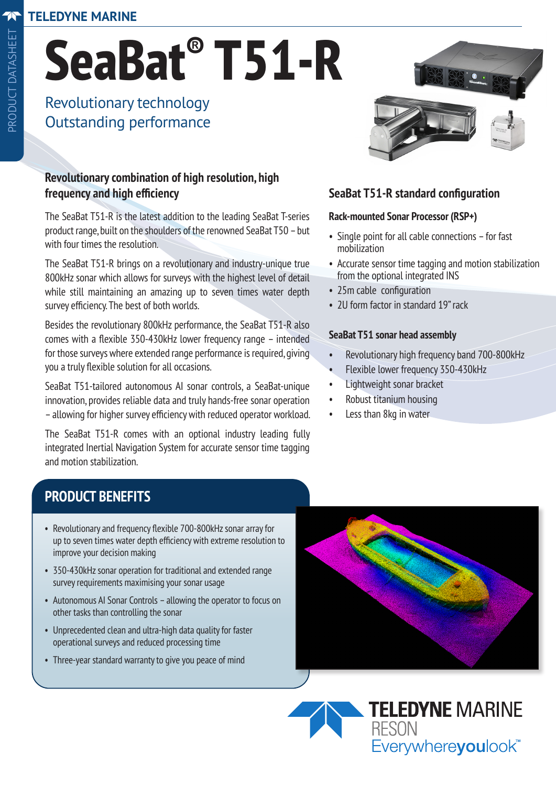### **TELEDYNE MARINE**

# **SeaBat® T51-R**

### Revolutionary technology Outstanding performance

### **Revolutionary combination of high resolution, high frequency and high efficiency**

The SeaBat T51-R is the latest addition to the leading SeaBat T-series product range, built on the shoulders of the renowned SeaBat T50 – but with four times the resolution.

The SeaBat T51-R brings on a revolutionary and industry-unique true 800kHz sonar which allows for surveys with the highest level of detail while still maintaining an amazing up to seven times water depth survey efficiency. The best of both worlds.

Besides the revolutionary 800kHz performance, the SeaBat T51-R also comes with a flexible 350-430kHz lower frequency range – intended for those surveys where extended range performance is required, giving you a truly flexible solution for all occasions.

SeaBat T51-tailored autonomous AI sonar controls, a SeaBat-unique innovation, provides reliable data and truly hands-free sonar operation – allowing for higher survey efficiency with reduced operator workload.

The SeaBat T51-R comes with an optional industry leading fully integrated Inertial Navigation System for accurate sensor time tagging and motion stabilization.

### **PRODUCT BENEFITS**

- Revolutionary and frequency flexible 700-800kHz sonar array for up to seven times water depth efficiency with extreme resolution to improve your decision making
- 350-430kHz sonar operation for traditional and extended range survey requirements maximising your sonar usage
- Autonomous AI Sonar Controls allowing the operator to focus on other tasks than controlling the sonar
- Unprecedented clean and ultra-high data quality for faster operational surveys and reduced processing time
- Three-year standard warranty to give you peace of mind



**TELEDYNE MARINE** 

Everywhereyoulook<sup>\*\*</sup>





### **SeaBat T51-R standard configuration**

### **Rack-mounted Sonar Processor (RSP+)**

- Single point for all cable connections for fast mobilization
- Accurate sensor time tagging and motion stabilization from the optional integrated INS
- 25m cable configuration
- 2U form factor in standard 19" rack

### **SeaBat T51 sonar head assembly**

- Revolutionary high frequency band 700-800kHz
- Flexible lower frequency 350-430kHz
- Lightweight sonar bracket
- Robust titanium housing
- Less than 8kg in water